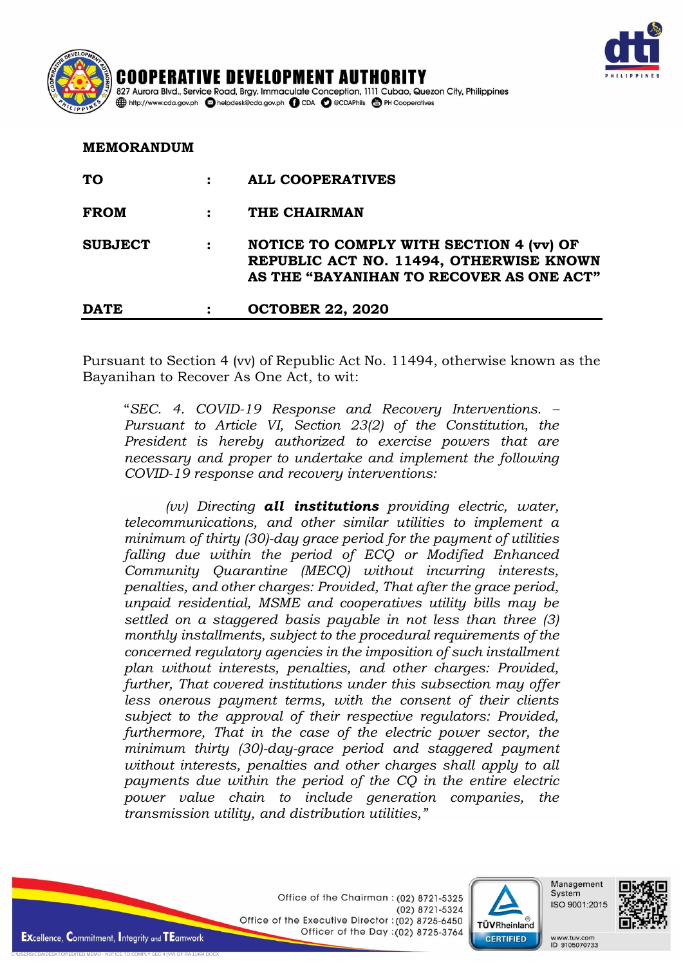

| COOPER AVE DIEVE   | COOPERATIVE DEVELOPMENT AUTHORITY<br>827 Aurora Blvd., Service Road, Brgy. Immaculate Conception, 1111 Cubao, Quezon City, Philippines |
|--------------------|----------------------------------------------------------------------------------------------------------------------------------------|
| <b>PAILIPPINES</b> | http://www.cda.gov.ph a helpdesk@cda.gov.ph a CDA C @CDAPhils a PH Cooperatives                                                        |

**MEMORANDUM**

| <b>MLMORANDUM</b> |                |                                                                                                                                |  |
|-------------------|----------------|--------------------------------------------------------------------------------------------------------------------------------|--|
| <b>TO</b>         |                | <b>ALL COOPERATIVES</b>                                                                                                        |  |
| <b>FROM</b>       |                | THE CHAIRMAN                                                                                                                   |  |
| <b>SUBJECT</b>    | $\ddot{\cdot}$ | NOTICE TO COMPLY WITH SECTION 4 (vv) OF<br>REPUBLIC ACT NO. 11494, OTHERWISE KNOWN<br>AS THE "BAYANIHAN TO RECOVER AS ONE ACT" |  |
| <b>DATE</b>       |                | <b>OCTOBER 22, 2020</b>                                                                                                        |  |

Pursuant to Section 4 (vv) of Republic Act No. 11494, otherwise known as the Bayanihan to Recover As One Act, to wit:

"*SEC. 4. COVID-19 Response and Recovery Interventions. – Pursuant to Article VI, Section 23(2) of the Constitution, the President is hereby authorized to exercise powers that are necessary and proper to undertake and implement the following COVID-19 response and recovery interventions:* 

*(vv) Directing all institutions providing electric, water, telecommunications, and other similar utilities to implement a minimum of thirty (30)-day grace period for the payment of utilities falling due within the period of ECQ or Modified Enhanced Community Quarantine (MECQ) without incurring interests, penalties, and other charges: Provided, That after the grace period, unpaid residential, MSME and cooperatives utility bills may be settled on a staggered basis payable in not less than three (3) monthly installments, subject to the procedural requirements of the concerned regulatory agencies in the imposition of such installment plan without interests, penalties, and other charges: Provided, further, That covered institutions under this subsection may offer less onerous payment terms, with the consent of their clients subject to the approval of their respective regulators: Provided, furthermore, That in the case of the electric power sector, the minimum thirty (30)-day-grace period and staggered payment without interests, penalties and other charges shall apply to all payments due within the period of the CQ in the entire electric power value chain to include generation companies, the transmission utility, and distribution utilities,"*

> Office of the Chairman: (02) 8721-5325 (02) 8721-5324 Office of the Executive Director: (02) 8725-6450 Officer of the Day : (02) 8725-3764